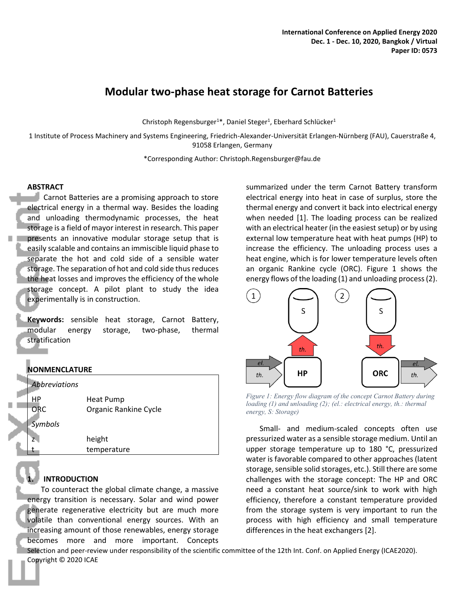# **Modular two-phase heat storage for Carnot Batteries**

Christoph Regensburger<sup>1\*</sup>, Daniel Steger<sup>1</sup>, Eberhard Schlücker<sup>1</sup>

1 Institute of Process Machinery and Systems Engineering, Friedrich-Alexander-Universität Erlangen-Nürnberg (FAU), Cauerstraße 4, 91058 Erlangen, Germany

\*Corresponding Author: Christoph.Regensburger@fau.de

# **ABSTRACT**

Carnot Batteries are a promising approach to store electrical energy in a thermal way. Besides the loading and unloading thermodynamic processes, the heat storage is a field of mayor interest in research. This paper presents an innovative modular storage setup that is easily scalable and contains an immiscible liquid phase to separate the hot and cold side of a sensible water storage. The separation of hot and cold side thus reduces the heat losses and improves the efficiency of the whole storage concept. A pilot plant to study the idea experimentally is in construction.

**Keywords:** sensible heat storage, Carnot Battery, modular energy storage, two-phase, thermal stratification

# **NONMENCLATURE**

| Abbreviations  |                       |
|----------------|-----------------------|
| ΗP             | Heat Pump             |
| ORC            | Organic Rankine Cycle |
| <b>Symbols</b> |                       |
| 7.             | height                |
|                | temperature           |
|                |                       |

# **1. INTRODUCTION**

To counteract the global climate change, a massive energy transition is necessary. Solar and wind power generate regenerative electricity but are much more volatile than conventional energy sources. With an increasing amount of those renewables, energy storage becomes more and more important. Concepts

summarized under the term Carnot Battery transform electrical energy into heat in case of surplus, store the thermal energy and convert it back into electrical energy when needed [1]. The loading process can be realized with an electrical heater (in the easiest setup) or by using external low temperature heat with heat pumps (HP) to increase the efficiency. The unloading process uses a heat engine, which is for lower temperature levels often an organic Rankine cycle (ORC). Figure 1 shows the energy flows of the loading (1) and unloading process (2).



*Figure 1: Energy flow diagram of the concept Carnot Battery during loading (1) and unloading (2); (el.: electrical energy, th.: thermal energy, S: Storage)*

Small- and medium-scaled concepts often use pressurized water as a sensible storage medium. Until an upper storage temperature up to 180 °C, pressurized water is favorable compared to other approaches (latent storage, sensible solid storages, etc.). Still there are some challenges with the storage concept: The HP and ORC need a constant heat source/sink to work with high efficiency, therefore a constant temperature provided from the storage system is very important to run the process with high efficiency and small temperature differences in the heat exchangers [2].

Selection and peer-review under responsibility of the scientific committee of the 12th Int. Conf. on Applied Energy (ICAE2020). Copyright © 2020 ICAE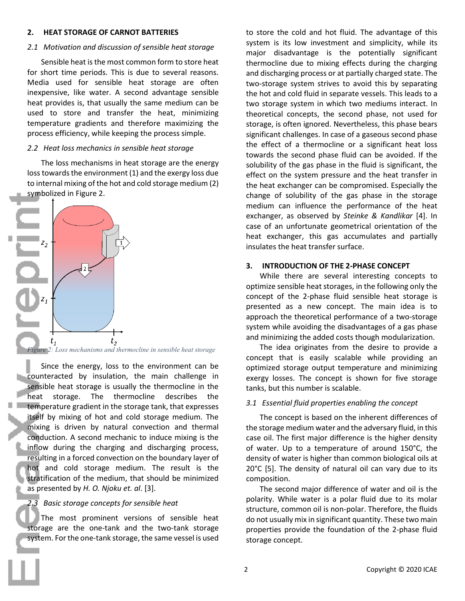# **2. HEAT STORAGE OF CARNOT BATTERIES**

#### *2.1 Motivation and discussion of sensible heat storage*

Sensible heat is the most common form to store heat for short time periods. This is due to several reasons. Media used for sensible heat storage are often inexpensive, like water. A second advantage sensible heat provides is, that usually the same medium can be used to store and transfer the heat, minimizing temperature gradients and therefore maximizing the process efficiency, while keeping the process simple.

# *2.2 Heat loss mechanics in sensible heat storage*

The loss mechanisms in heat storage are the energy loss towards the environment (1) and the exergy loss due to internal mixing of the hot and cold storage medium (2) symbolized in Figure 2.



*Figure 2: Loss mechanisms and thermocline in sensible heat storage*

Since the energy, loss to the environment can be counteracted by insulation, the main challenge in sensible heat storage is usually the thermocline in the heat storage. The thermocline describes the temperature gradient in the storage tank, that expresses itself by mixing of hot and cold storage medium. The mixing is driven by natural convection and thermal conduction. A second mechanic to induce mixing is the inflow during the charging and discharging process, resulting in a forced convection on the boundary layer of hot and cold storage medium. The result is the stratification of the medium, that should be minimized as presented by *H. O. Njoku et. al*. [3].

# *2.3 Basic storage concepts for sensible heat*

The most prominent versions of sensible heat storage are the one-tank and the two-tank storage system. For the one-tank storage, the same vessel is used

to store the cold and hot fluid. The advantage of this system is its low investment and simplicity, while its major disadvantage is the potentially significant thermocline due to mixing effects during the charging and discharging process or at partially charged state. The two-storage system strives to avoid this by separating the hot and cold fluid in separate vessels. This leads to a two storage system in which two mediums interact. In theoretical concepts, the second phase, not used for storage, is often ignored. Nevertheless, this phase bears significant challenges. In case of a gaseous second phase the effect of a thermocline or a significant heat loss towards the second phase fluid can be avoided. If the solubility of the gas phase in the fluid is significant, the effect on the system pressure and the heat transfer in the heat exchanger can be compromised. Especially the change of solubility of the gas phase in the storage medium can influence the performance of the heat exchanger, as observed by *Steinke & Kandlikar* [4]. In case of an unfortunate geometrical orientation of the heat exchanger, this gas accumulates and partially insulates the heat transfer surface.

# **3. INTRODUCTION OF THE 2-PHASE CONCEPT**

While there are several interesting concepts to optimize sensible heat storages, in the following only the concept of the 2-phase fluid sensible heat storage is presented as a new concept. The main idea is to approach the theoretical performance of a two-storage system while avoiding the disadvantages of a gas phase and minimizing the added costs though modularization.

The idea originates from the desire to provide a concept that is easily scalable while providing an optimized storage output temperature and minimizing exergy losses. The concept is shown for five storage tanks, but this number is scalable.

# *3.1 Essential fluid properties enabling the concept*

The concept is based on the inherent differences of the storage medium water and the adversary fluid, in this case oil. The first major difference is the higher density of water. Up to a temperature of around 150°C, the density of water is higher than common biological oils at 20°C [5]. The density of natural oil can vary due to its composition.

The second major difference of water and oil is the polarity. While water is a polar fluid due to its molar structure, common oil is non-polar. Therefore, the fluids do not usually mix in significant quantity. These two main properties provide the foundation of the 2-phase fluid storage concept.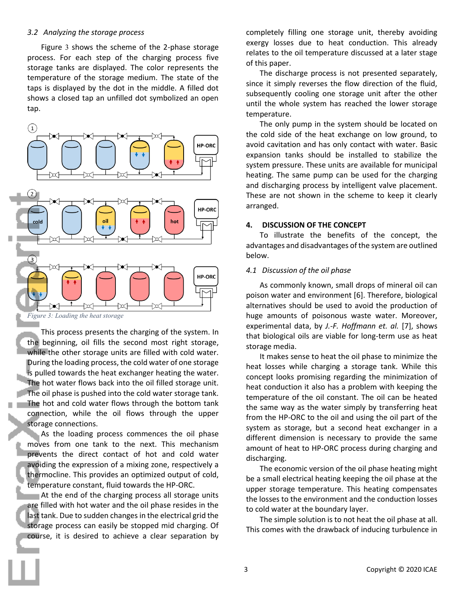#### *3.2 Analyzing the storage process*

Figure 3 shows the scheme of the 2-phase storage process. For each step of the charging process five storage tanks are displayed. The color represents the temperature of the storage medium. The state of the taps is displayed by the dot in the middle. A filled dot shows a closed tap an unfilled dot symbolized an open tap.



*Figure 3: Loading the heat storage*

This process presents the charging of the system. In the beginning, oil fills the second most right storage, while the other storage units are filled with cold water. During the loading process, the cold water of one storage is pulled towards the heat exchanger heating the water. The hot water flows back into the oil filled storage unit. The oil phase is pushed into the cold water storage tank. The hot and cold water flows through the bottom tank connection, while the oil flows through the upper storage connections.

As the loading process commences the oil phase moves from one tank to the next. This mechanism prevents the direct contact of hot and cold water avoiding the expression of a mixing zone, respectively a thermocline. This provides an optimized output of cold, temperature constant, fluid towards the HP-ORC.

**EXECUTE:** At the end of the charging process all storage units are filled with hot water and the oil phase resides in the last tank. Due to sudden changes in the electrical grid the storage process can easily be stopped mid charging. Of course, it is desired to achieve a clear separation by

completely filling one storage unit, thereby avoiding exergy losses due to heat conduction. This already relates to the oil temperature discussed at a later stage of this paper.

The discharge process is not presented separately, since it simply reverses the flow direction of the fluid, subsequently cooling one storage unit after the other until the whole system has reached the lower storage temperature.

The only pump in the system should be located on the cold side of the heat exchange on low ground, to avoid cavitation and has only contact with water. Basic expansion tanks should be installed to stabilize the system pressure. These units are available for municipal heating. The same pump can be used for the charging and discharging process by intelligent valve placement. These are not shown in the scheme to keep it clearly arranged.

# **4. DISCUSSION OF THE CONCEPT**

To illustrate the benefits of the concept, the advantages and disadvantages of the system are outlined below.

#### *4.1 Discussion of the oil phase*

As commonly known, small drops of mineral oil can poison water and environment [6]. Therefore, biological alternatives should be used to avoid the production of huge amounts of poisonous waste water. Moreover, experimental data, by *J.-F. Hoffmann et. al.* [7], shows that biological oils are viable for long-term use as heat storage media.

It makes sense to heat the oil phase to minimize the heat losses while charging a storage tank. While this concept looks promising regarding the minimization of heat conduction it also has a problem with keeping the temperature of the oil constant. The oil can be heated the same way as the water simply by transferring heat from the HP-ORC to the oil and using the oil part of the system as storage, but a second heat exchanger in a different dimension is necessary to provide the same amount of heat to HP-ORC process during charging and discharging.

The economic version of the oil phase heating might be a small electrical heating keeping the oil phase at the upper storage temperature. This heating compensates the losses to the environment and the conduction losses to cold water at the boundary layer.

The simple solution is to not heat the oil phase at all. This comes with the drawback of inducing turbulence in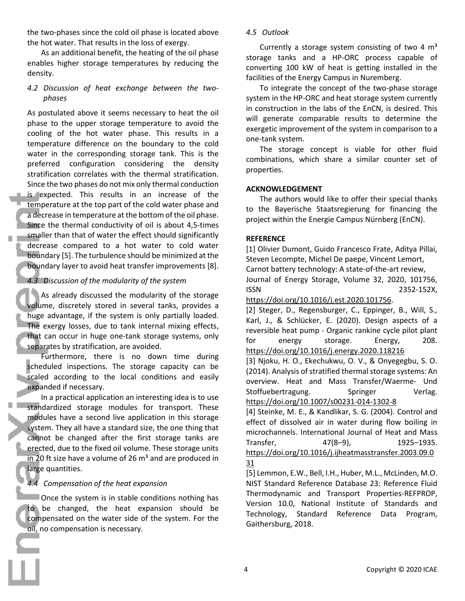the two-phases since the cold oil phase is located above the hot water. That results in the loss of exergy.

As an additional benefit, the heating of the oil phase enables higher storage temperatures by reducing the density.

*4.2 Discussion of heat exchange between the twophases*

As postulated above it seems necessary to heat the oil phase to the upper storage temperature to avoid the cooling of the hot water phase. This results in a temperature difference on the boundary to the cold water in the corresponding storage tank. This is the preferred configuration considering the density stratification correlates with the thermal stratification. Since the two phases do not mix only thermal conduction is expected. This results in an increase of the temperature at the top part of the cold water phase and a decrease in temperature at the bottom of the oil phase. Since the thermal conductivity of oil is about 4,5-times smaller than that of water the effect should significantly decrease compared to a hot water to cold water boundary [5]. The turbulence should be minimized at the boundary layer to avoid heat transfer improvements [8].

# *4.3 Discussion of the modularity of the system*

As already discussed the modularity of the storage volume, discretely stored in several tanks, provides a huge advantage, if the system is only partially loaded. The exergy losses, due to tank internal mixing effects, that can occur in huge one-tank storage systems, only separates by stratification, are avoided.

Furthermore, there is no down time during scheduled inspections. The storage capacity can be scaled according to the local conditions and easily expanded if necessary.

In a practical application an interesting idea is to use standardized storage modules for transport. These modules have a second live application in this storage system. They all have a standard size, the one thing that cannot be changed after the first storage tanks are erected, due to the fixed oil volume. These storage units in 20 ft size have a volume of 26  $m<sup>3</sup>$  and are produced in large quantities.

# *4.4 Compensation of the heat expansion*

Once the system is in stable conditions nothing has to be changed, the heat expansion should be compensated on the water side of the system. For the oil, no compensation is necessary.

# *4.5 Outlook*

Currently a storage system consisting of two 4  $m<sup>3</sup>$ storage tanks and a HP-ORC process capable of converting 100 kW of heat is getting installed in the facilities of the Energy Campus in Nuremberg.

To integrate the concept of the two-phase storage system in the HP-ORC and heat storage system currently in construction in the labs of the EnCN, is desired. This will generate comparable results to determine the exergetic improvement of the system in comparison to a one-tank system.

The storage concept is viable for other fluid combinations, which share a similar counter set of properties.

# **ACKNOWLEDGEMENT**

The authors would like to offer their special thanks to the Bayerische Staatsregierung for financing the project within the Energie Campus Nürnberg (EnCN).

# **REFERENCE**

[1] Olivier Dumont, Guido Francesco Frate, Aditya Pillai, Steven Lecompte, Michel De paepe, Vincent Lemort, Carnot battery technology: A state-of-the-art review, Journal of Energy Storage, Volume 32, 2020, 101756, ISSN 2352-152X,

https://doi.org/10.1016/j.est.2020.101756.

[2] Steger, D., Regensburger, C., Eppinger, B., Will, S., Karl, J., & Schlücker, E. (2020). Design aspects of a reversible heat pump - Organic rankine cycle pilot plant for energy storage. Energy, 208. https://doi.org/10.1016/j.energy.2020.118216

[3] Njoku, H. O., Ekechukwu, O. V., & Onyegegbu, S. O. (2014). Analysis of stratified thermal storage systems: An overview. Heat and Mass Transfer/Waerme- Und Stoffuebertragung. Springer Verlag. https://doi.org/10.1007/s00231-014-1302-8

[4] Steinke, M. E., & Kandlikar, S. G. (2004). Control and effect of dissolved air in water during flow boiling in microchannels. International Journal of Heat and Mass Transfer, 47(8–9), 1925–1935. https://doi.org/10.1016/j.ijheatmasstransfer.2003.09.0 31

[5] Lemmon, E.W., Bell, I.H., Huber, M.L., McLinden, M.O. NIST Standard Reference Database 23: Reference Fluid Thermodynamic and Transport Properties-REFPROP, Version 10.0, National Institute of Standards and Technology, Standard Reference Data Program, Gaithersburg, 2018.